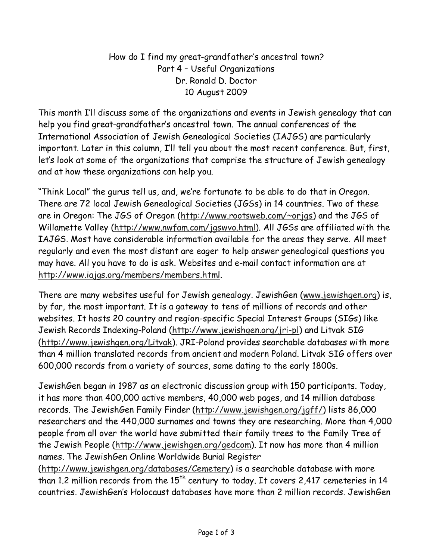How do I find my great-grandfather's ancestral town? Part 4 – Useful Organizations Dr. Ronald D. Doctor 10 August 2009

This month I'll discuss some of the organizations and events in Jewish genealogy that can help you find great-grandfather's ancestral town. The annual conferences of the International Association of Jewish Genealogical Societies (IAJGS) are particularly important. Later in this column, I'll tell you about the most recent conference. But, first, let's look at some of the organizations that comprise the structure of Jewish genealogy and at how these organizations can help you.

"Think Local" the gurus tell us, and, we're fortunate to be able to do that in Oregon. There are 72 local Jewish Genealogical Societies (JGSs) in 14 countries. Two of these are in Oregon: The JGS of Oregon (http://www.rootsweb.com/~orjgs) and the JGS of Willamette Valley (http://www.nwfam.com/jgswvo.html). All JGSs are affiliated with the IAJGS. Most have considerable information available for the areas they serve. All meet regularly and even the most distant are eager to help answer genealogical questions you may have. All you have to do is ask. Websites and e-mail contact information are at http://www.iajgs.org/members/members.html.

There are many websites useful for Jewish genealogy. JewishGen (www.jewishgen.org) is, by far, the most important. It is a gateway to tens of millions of records and other websites. It hosts 20 country and region-specific Special Interest Groups (SIGs) like Jewish Records Indexing-Poland (http://www.jewishgen.org/jri-pl) and Litvak SIG (http://www.jewishgen.org/Litvak). JRI-Poland provides searchable databases with more than 4 million translated records from ancient and modern Poland. Litvak SIG offers over 600,000 records from a variety of sources, some dating to the early 1800s.

JewishGen began in 1987 as an electronic discussion group with 150 participants. Today, it has more than 400,000 active members, 40,000 web pages, and 14 million database records. The JewishGen Family Finder (http://www.jewishgen.org/jgff/) lists 86,000 researchers and the 440,000 surnames and towns they are researching. More than 4,000 people from all over the world have submitted their family trees to the Family Tree of the Jewish People (http://www.jewishgen.org/gedcom). It now has more than 4 million names. The JewishGen Online Worldwide Burial Register

(http://www.jewishgen.org/databases/Cemetery) is a searchable database with more than 1.2 million records from the  $15<sup>th</sup>$  century to today. It covers 2,417 cemeteries in 14 countries. JewishGen's Holocaust databases have more than 2 million records. JewishGen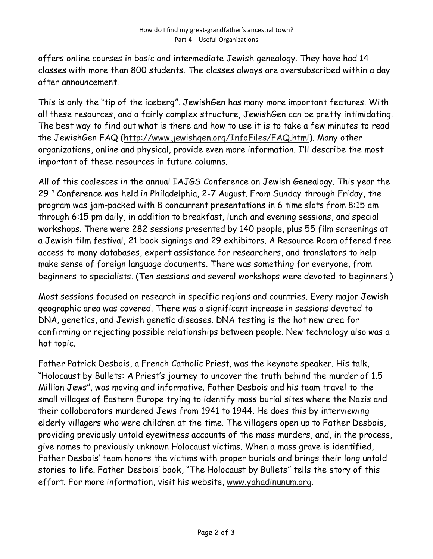offers online courses in basic and intermediate Jewish genealogy. They have had 14 classes with more than 800 students. The classes always are oversubscribed within a day after announcement.

This is only the "tip of the iceberg". JewishGen has many more important features. With all these resources, and a fairly complex structure, JewishGen can be pretty intimidating. The best way to find out what is there and how to use it is to take a few minutes to read the JewishGen FAQ (http://www.jewishgen.org/InfoFiles/FAQ.html). Many other organizations, online and physical, provide even more information. I'll describe the most important of these resources in future columns.

All of this coalesces in the annual IAJGS Conference on Jewish Genealogy. This year the 29<sup>th</sup> Conference was held in Philadelphia, 2-7 August. From Sunday through Friday, the program was jam-packed with 8 concurrent presentations in 6 time slots from 8:15 am through 6:15 pm daily, in addition to breakfast, lunch and evening sessions, and special workshops. There were 282 sessions presented by 140 people, plus 55 film screenings at a Jewish film festival, 21 book signings and 29 exhibitors. A Resource Room offered free access to many databases, expert assistance for researchers, and translators to help make sense of foreign language documents. There was something for everyone, from beginners to specialists. (Ten sessions and several workshops were devoted to beginners.)

Most sessions focused on research in specific regions and countries. Every major Jewish geographic area was covered. There was a significant increase in sessions devoted to DNA, genetics, and Jewish genetic diseases. DNA testing is the hot new area for confirming or rejecting possible relationships between people. New technology also was a hot topic.

Father Patrick Desbois, a French Catholic Priest, was the keynote speaker. His talk, "Holocaust by Bullets: A Priest's journey to uncover the truth behind the murder of 1.5 Million Jews", was moving and informative. Father Desbois and his team travel to the small villages of Eastern Europe trying to identify mass burial sites where the Nazis and their collaborators murdered Jews from 1941 to 1944. He does this by interviewing elderly villagers who were children at the time. The villagers open up to Father Desbois, providing previously untold eyewitness accounts of the mass murders, and, in the process, give names to previously unknown Holocaust victims. When a mass grave is identified, Father Desbois' team honors the victims with proper burials and brings their long untold stories to life. Father Desbois' book, "The Holocaust by Bullets" tells the story of this effort. For more information, visit his website, www.yahadinunum.org.